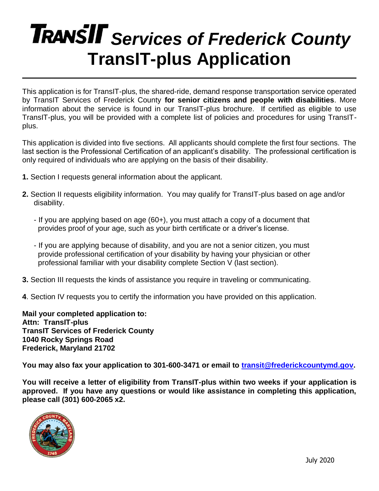# **TRANSIT** Services of Frederick County **TransIT-plus Application**

This application is for TransIT-plus, the shared-ride, demand response transportation service operated by TransIT Services of Frederick County **for senior citizens and people with disabilities**. More information about the service is found in our TransIT-plus brochure. If certified as eligible to use TransIT-plus, you will be provided with a complete list of policies and procedures for using TransITplus.

This application is divided into five sections. All applicants should complete the first four sections. The last section is the Professional Certification of an applicant's disability. The professional certification is only required of individuals who are applying on the basis of their disability.

- **1.** Section I requests general information about the applicant.
- **2.** Section II requests eligibility information. You may qualify for TransIT-plus based on age and/or disability.
	- If you are applying based on age (60+), you must attach a copy of a document that provides proof of your age, such as your birth certificate or a driver's license.
	- If you are applying because of disability, and you are not a senior citizen, you must provide professional certification of your disability by having your physician or other professional familiar with your disability complete Section V (last section).
- **3.** Section III requests the kinds of assistance you require in traveling or communicating.
- **4**. Section IV requests you to certify the information you have provided on this application.

**Mail your completed application to: Attn: TransIT-plus TransIT Services of Frederick County 1040 Rocky Springs Road Frederick, Maryland 21702**

**You may also fax your application to 301-600-3471 or email to [transit@frederickcountymd.gov.](mailto:transit@frederickcountymd.gov)** 

**You will receive a letter of eligibility from TransIT-plus within two weeks if your application is approved. If you have any questions or would like assistance in completing this application, please call (301) 600-2065 x2.**

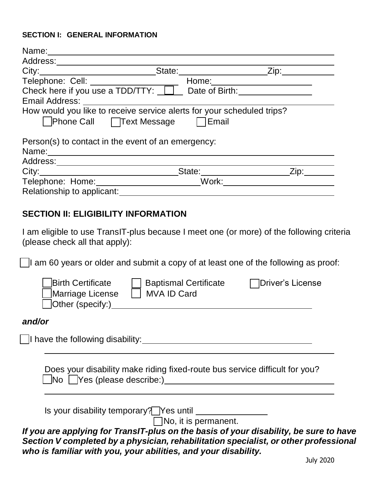## **SECTION I: GENERAL INFORMATION**

| State: <u>Contact Zip:</u><br>How would you like to receive service alerts for your scheduled trips?<br>□Phone Call □ Text Message □ Email<br>Person(s) to contact in the event of an emergency:<br>Zip: | Name: |  |
|----------------------------------------------------------------------------------------------------------------------------------------------------------------------------------------------------------|-------|--|
|                                                                                                                                                                                                          |       |  |
|                                                                                                                                                                                                          |       |  |
|                                                                                                                                                                                                          |       |  |
|                                                                                                                                                                                                          |       |  |
|                                                                                                                                                                                                          |       |  |
|                                                                                                                                                                                                          |       |  |
|                                                                                                                                                                                                          |       |  |
|                                                                                                                                                                                                          |       |  |
| Work:                                                                                                                                                                                                    |       |  |
| Relationship to applicant:                                                                                                                                                                               |       |  |
|                                                                                                                                                                                                          |       |  |

## **SECTION II: ELIGIBILITY INFORMATION**

I am eligible to use TransIT-plus because I meet one (or more) of the following criteria (please check all that apply):

 $\Box$ I am 60 years or older and submit a copy of at least one of the following as proof:

| Birth Certificate<br><b>Baptismal Certificate</b><br>Marriage License<br>MVA ID Card<br>Other (specify:)                                                                                                                                        | Driver's License                                                                                                      |
|-------------------------------------------------------------------------------------------------------------------------------------------------------------------------------------------------------------------------------------------------|-----------------------------------------------------------------------------------------------------------------------|
| and/or                                                                                                                                                                                                                                          |                                                                                                                       |
| I have the following disability:                                                                                                                                                                                                                |                                                                                                                       |
| Does your disability make riding fixed-route bus service difficult for you?<br>$\Box$ No $\Box$ Yes (please describe:)                                                                                                                          | <u>and the state of the state of the state of the state of the state of the state of the state of the state of th</u> |
| Is your disability temporary? Yes until<br>$\Box$ No, it is permanent.                                                                                                                                                                          |                                                                                                                       |
| If you are applying for TransIT-plus on the basis of your disability, be sure to have<br>Section V completed by a physician, rehabilitation specialist, or other professional<br>who is familiar with you, your abilities, and your disability. |                                                                                                                       |
|                                                                                                                                                                                                                                                 | חכמכ עוווד                                                                                                            |

July 2020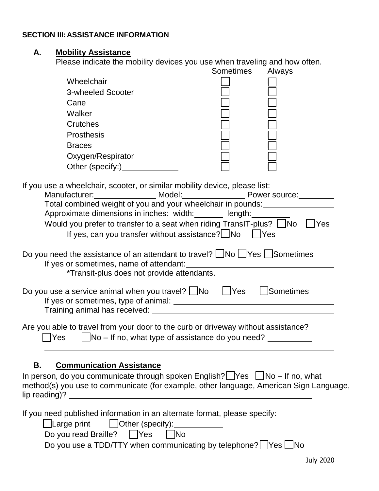## **SECTION III: ASSISTANCE INFORMATION**

#### **A. Mobility Assistance**

Please indicate the mobility devices you use when traveling and how often.

|                                                                                                                                                                                                                                                                                                                                                                                                                    | Sometimes | Always           |
|--------------------------------------------------------------------------------------------------------------------------------------------------------------------------------------------------------------------------------------------------------------------------------------------------------------------------------------------------------------------------------------------------------------------|-----------|------------------|
| Wheelchair                                                                                                                                                                                                                                                                                                                                                                                                         |           |                  |
| 3-wheeled Scooter                                                                                                                                                                                                                                                                                                                                                                                                  |           |                  |
| Cane                                                                                                                                                                                                                                                                                                                                                                                                               |           |                  |
| Walker                                                                                                                                                                                                                                                                                                                                                                                                             |           |                  |
| Crutches                                                                                                                                                                                                                                                                                                                                                                                                           |           |                  |
| <b>Prosthesis</b>                                                                                                                                                                                                                                                                                                                                                                                                  |           |                  |
| <b>Braces</b>                                                                                                                                                                                                                                                                                                                                                                                                      |           |                  |
| Oxygen/Respirator                                                                                                                                                                                                                                                                                                                                                                                                  |           |                  |
| Other (specify:) Character Charles                                                                                                                                                                                                                                                                                                                                                                                 |           |                  |
| If you use a wheelchair, scooter, or similar mobility device, please list:<br>Manufacturer: Model: Nodel: Power source:<br>Total combined weight of you and your wheelchair in pounds: ____________________<br>Approximate dimensions in inches: width: ______ length: _______<br>Would you prefer to transfer to a seat when riding TransIT-plus? No CYes<br>If yes, can you transfer without assistance? No TYes |           |                  |
| Do you need the assistance of an attendant to travel? $\Box$ No $\Box$ Yes $\Box$ Sometimes<br>*Transit-plus does not provide attendants.                                                                                                                                                                                                                                                                          |           |                  |
| Do you use a service animal when you travel? $\Box$ No $\Box$ Yes                                                                                                                                                                                                                                                                                                                                                  |           | <b>Sometimes</b> |
| Are you able to travel from your door to the curb or driveway without assistance?<br>No – If no, what type of assistance do you need?<br><b>Yes</b>                                                                                                                                                                                                                                                                |           |                  |
| Β.<br><b>Communication Assistance</b><br>In person, do you communicate through spoken English?  Yes   No - If no, what<br>method(s) you use to communicate (for example, other language, American Sign Language,                                                                                                                                                                                                   |           |                  |
| If you need published information in an alternate format, please specify:<br>$\Box$ Large print<br>$\Box$ Other (specify): $\Box$<br>Do you read Braille? [Yes<br><b>No</b><br>Do you use a TDD/TTY when communicating by telephone? $\Box$ Yes $\Box$ No                                                                                                                                                          |           |                  |